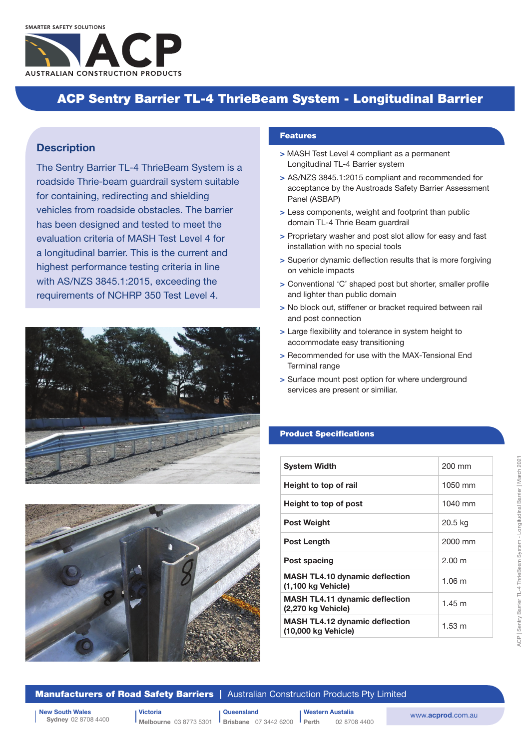# ACP Sentry Barrier TL-4 ThrieBeam System - Longitudinal Barrier

## **Description**

The Sentry Barrier TL-4 ThrieBeam System is a roadside Thrie-beam guardrail system suitable for containing, redirecting and shielding vehicles from roadside obstacles. The barrier has been designed and tested to meet the evaluation criteria of MASH Test Level 4 for a longitudinal barrier. This is the current and highest performance testing criteria in line with AS/NZS 3845.1:2015, exceeding the requirements of NCHRP 350 Test Level 4.





#### Features

- > MASH Test Level 4 compliant as a permanent Longitudinal TL-4 Barrier system
- > AS/NZS 3845.1:2015 compliant and recommended for acceptance by the Austroads Safety Barrier Assessment Panel (ASBAP)
- > Less components, weight and footprint than public domain TL-4 Thrie Beam guardrail
- > Proprietary washer and post slot allow for easy and fast installation with no special tools
- > Superior dynamic deflection results that is more forgiving on vehicle impacts
- > Conventional 'C' shaped post but shorter, smaller profile and lighter than public domain
- > No block out, stiffener or bracket required between rail and post connection
- > Large flexibility and tolerance in system height to accommodate easy transitioning
- > Recommended for use with the MAX-Tensional End Terminal range
- > Surface mount post option for where underground services are present or similiar.

## Product Specifications

| <b>System Width</b>                                          | 200 mm           |
|--------------------------------------------------------------|------------------|
| Height to top of rail                                        | $1050$ mm        |
| Height to top of post                                        | 1040 mm          |
| <b>Post Weight</b>                                           | 20.5 kg          |
| Post Length                                                  | 2000 mm          |
| Post spacing                                                 | $2.00 \text{ m}$ |
| <b>MASH TL4.10 dynamic deflection</b><br>(1,100 kg Vehicle)  | $1.06 \text{ m}$ |
| <b>MASH TL4.11 dynamic deflection</b><br>(2,270 kg Vehicle)  | $1.45 \text{ m}$ |
| <b>MASH TL4.12 dynamic deflection</b><br>(10,000 kg Vehicle) | $1.53 \text{ m}$ |

### **Manufacturers of Road Safety Barriers** | Australian Construction Products Pty Limited

Sydney 02 8708 4400

New South Wales<br>Sydney 02 8708 4400<br>Melbourne 03 8773 5301 Brisbane 07 3442 6200 Perth 02 8708 4400 www.acprod.com.au Victoria Melbourne 03 8773 5301

**Queensland Brisbane** 07 3442 6200 Western Austalia

02 8708 4400